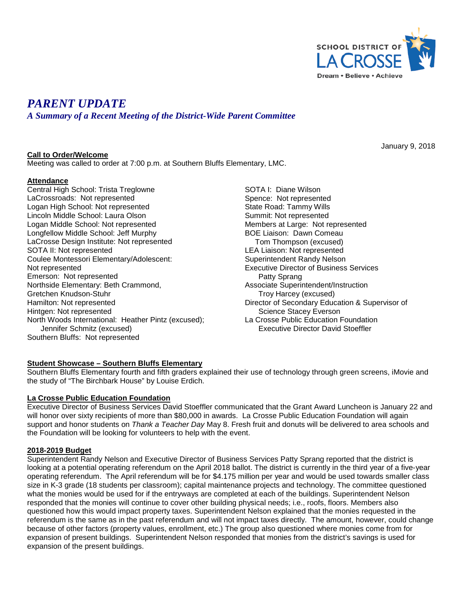

January 9, 2018

# *PARENT UPDATE*

*A Summary of a Recent Meeting of the District-Wide Parent Committee*

### **Call to Order/Welcome**

Meeting was called to order at 7:00 p.m. at Southern Bluffs Elementary, LMC.

### **Attendance**

Central High School: Trista Treglowne LaCrossroads: Not represented Logan High School: Not represented Lincoln Middle School: Laura Olson Logan Middle School: Not represented Longfellow Middle School: Jeff Murphy LaCrosse Design Institute: Not represented SOTA II: Not represented Coulee Montessori Elementary/Adolescent: Not represented Emerson: Not represented Northside Elementary: Beth Crammond, Gretchen Knudson-Stuhr Hamilton: Not represented Hintgen: Not represented North Woods International: Heather Pintz (excused); Jennifer Schmitz (excused) Southern Bluffs: Not represented

SOTA I: Diane Wilson Spence: Not represented State Road: Tammy Wills Summit: Not represented Members at Large: Not represented BOE Liaison: Dawn Comeau Tom Thompson (excused) LEA Liaison: Not represented Superintendent Randy Nelson Executive Director of Business Services Patty Sprang Associate Superintendent/Instruction Troy Harcey (excused) Director of Secondary Education & Supervisor of Science Stacey Everson La Crosse Public Education Foundation Executive Director David Stoeffler

# **Student Showcase – Southern Bluffs Elementary**

Southern Bluffs Elementary fourth and fifth graders explained their use of technology through green screens, iMovie and the study of "The Birchbark House" by Louise Erdich.

#### **La Crosse Public Education Foundation**

Executive Director of Business Services David Stoeffler communicated that the Grant Award Luncheon is January 22 and will honor over sixty recipients of more than \$80,000 in awards. La Crosse Public Education Foundation will again support and honor students on *Thank a Teacher Day* May 8. Fresh fruit and donuts will be delivered to area schools and the Foundation will be looking for volunteers to help with the event.

# **2018-2019 Budget**

Superintendent Randy Nelson and Executive Director of Business Services Patty Sprang reported that the district is looking at a potential operating referendum on the April 2018 ballot. The district is currently in the third year of a five-year operating referendum. The April referendum will be for \$4.175 million per year and would be used towards smaller class size in K-3 grade (18 students per classroom); capital maintenance projects and technology. The committee questioned what the monies would be used for if the entryways are completed at each of the buildings. Superintendent Nelson responded that the monies will continue to cover other building physical needs; i.e., roofs, floors. Members also questioned how this would impact property taxes. Superintendent Nelson explained that the monies requested in the referendum is the same as in the past referendum and will not impact taxes directly. The amount, however, could change because of other factors (property values, enrollment, etc.) The group also questioned where monies come from for expansion of present buildings. Superintendent Nelson responded that monies from the district's savings is used for expansion of the present buildings.